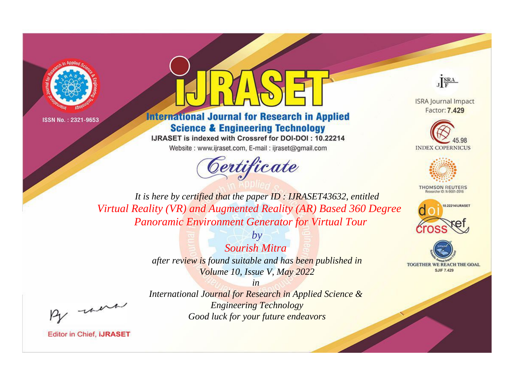



# **International Journal for Research in Applied Science & Engineering Technology**

IJRASET is indexed with Crossref for DOI-DOI: 10.22214

Website: www.ijraset.com, E-mail: ijraset@gmail.com





**ISRA Journal Impact** Factor: 7.429





**THOMSON REUTERS** 



TOGETHER WE REACH THE GOAL **SJIF 7.429** 

*It is here by certified that the paper ID : IJRASET43632, entitled Virtual Reality (VR) and Augmented Reality (AR) Based 360 Degree Panoramic Environment Generator for Virtual Tour*

> *by Sourish Mitra after review is found suitable and has been published in Volume 10, Issue V, May 2022*

, un

*International Journal for Research in Applied Science & Engineering Technology Good luck for your future endeavors*

*in*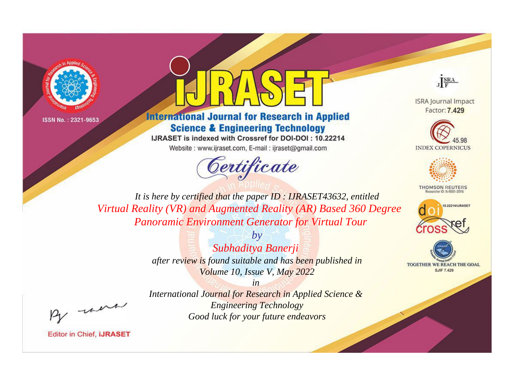



# **International Journal for Research in Applied Science & Engineering Technology**

IJRASET is indexed with Crossref for DOI-DOI: 10.22214 Website: www.ijraset.com, E-mail: ijraset@gmail.com



JERA

**ISRA Journal Impact** Factor: 7.429





**THOMSON REUTERS** 



TOGETHER WE REACH THE GOAL **SJIF 7.429** 

*It is here by certified that the paper ID : IJRASET43632, entitled Virtual Reality (VR) and Augmented Reality (AR) Based 360 Degree Panoramic Environment Generator for Virtual Tour*

> *by Subhaditya Banerji after review is found suitable and has been published in Volume 10, Issue V, May 2022*

, un

*International Journal for Research in Applied Science & Engineering Technology Good luck for your future endeavors*

*in*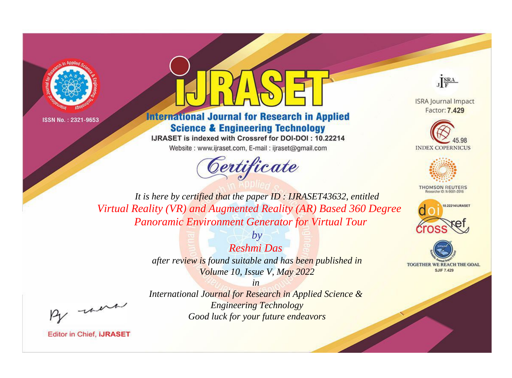



# **International Journal for Research in Applied Science & Engineering Technology**

IJRASET is indexed with Crossref for DOI-DOI: 10.22214

Website: www.ijraset.com, E-mail: ijraset@gmail.com





**ISRA Journal Impact** Factor: 7.429





**THOMSON REUTERS** 



TOGETHER WE REACH THE GOAL **SJIF 7.429** 

*It is here by certified that the paper ID : IJRASET43632, entitled Virtual Reality (VR) and Augmented Reality (AR) Based 360 Degree Panoramic Environment Generator for Virtual Tour*

> *Reshmi Das after review is found suitable and has been published in Volume 10, Issue V, May 2022*

*by*

, un

*International Journal for Research in Applied Science & Engineering Technology Good luck for your future endeavors*

*in*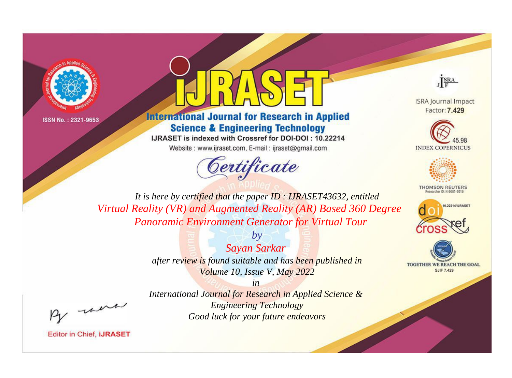



# **International Journal for Research in Applied Science & Engineering Technology**

IJRASET is indexed with Crossref for DOI-DOI: 10.22214

Website: www.ijraset.com, E-mail: ijraset@gmail.com





**ISRA Journal Impact** Factor: 7.429





**THOMSON REUTERS** 



TOGETHER WE REACH THE GOAL **SJIF 7.429** 

*It is here by certified that the paper ID : IJRASET43632, entitled Virtual Reality (VR) and Augmented Reality (AR) Based 360 Degree Panoramic Environment Generator for Virtual Tour*

> *by Sayan Sarkar after review is found suitable and has been published in Volume 10, Issue V, May 2022*

, un

*International Journal for Research in Applied Science & Engineering Technology Good luck for your future endeavors*

*in*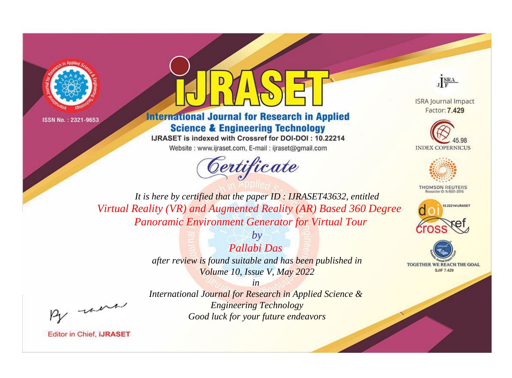



# **International Journal for Research in Applied Science & Engineering Technology**

IJRASET is indexed with Crossref for DOI-DOI: 10.22214

Website: www.ijraset.com, E-mail: ijraset@gmail.com





**ISRA Journal Impact** Factor: 7.429





**THOMSON REUTERS** 



TOGETHER WE REACH THE GOAL **SJIF 7.429** 

*It is here by certified that the paper ID : IJRASET43632, entitled Virtual Reality (VR) and Augmented Reality (AR) Based 360 Degree Panoramic Environment Generator for Virtual Tour*

> *by Pallabi Das after review is found suitable and has been published in Volume 10, Issue V, May 2022*

, un

*International Journal for Research in Applied Science & Engineering Technology Good luck for your future endeavors*

*in*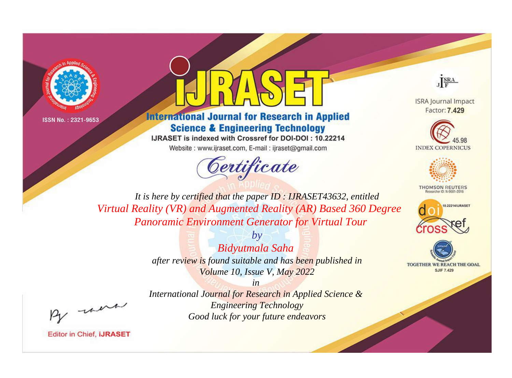



# **International Journal for Research in Applied Science & Engineering Technology**

IJRASET is indexed with Crossref for DOI-DOI: 10.22214

Website: www.ijraset.com, E-mail: ijraset@gmail.com





**ISRA Journal Impact** Factor: 7.429





**THOMSON REUTERS** 



TOGETHER WE REACH THE GOAL **SJIF 7.429** 

*It is here by certified that the paper ID : IJRASET43632, entitled Virtual Reality (VR) and Augmented Reality (AR) Based 360 Degree Panoramic Environment Generator for Virtual Tour*

> *by Bidyutmala Saha after review is found suitable and has been published in Volume 10, Issue V, May 2022*

, un

*International Journal for Research in Applied Science & Engineering Technology Good luck for your future endeavors*

*in*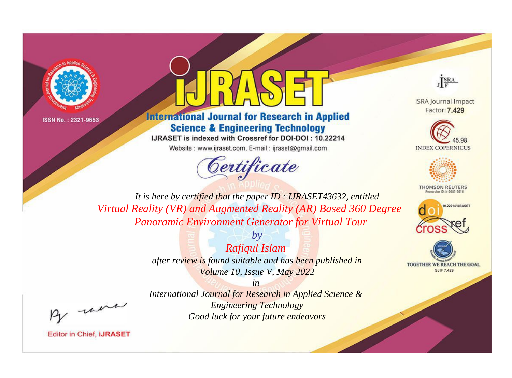



# **International Journal for Research in Applied Science & Engineering Technology**

IJRASET is indexed with Crossref for DOI-DOI: 10.22214

Website: www.ijraset.com, E-mail: ijraset@gmail.com





**ISRA Journal Impact** Factor: 7.429





**THOMSON REUTERS** 



TOGETHER WE REACH THE GOAL **SJIF 7.429** 

*It is here by certified that the paper ID : IJRASET43632, entitled Virtual Reality (VR) and Augmented Reality (AR) Based 360 Degree Panoramic Environment Generator for Virtual Tour*

> *by Rafiqul Islam after review is found suitable and has been published in Volume 10, Issue V, May 2022*

, un

*International Journal for Research in Applied Science & Engineering Technology Good luck for your future endeavors*

*in*